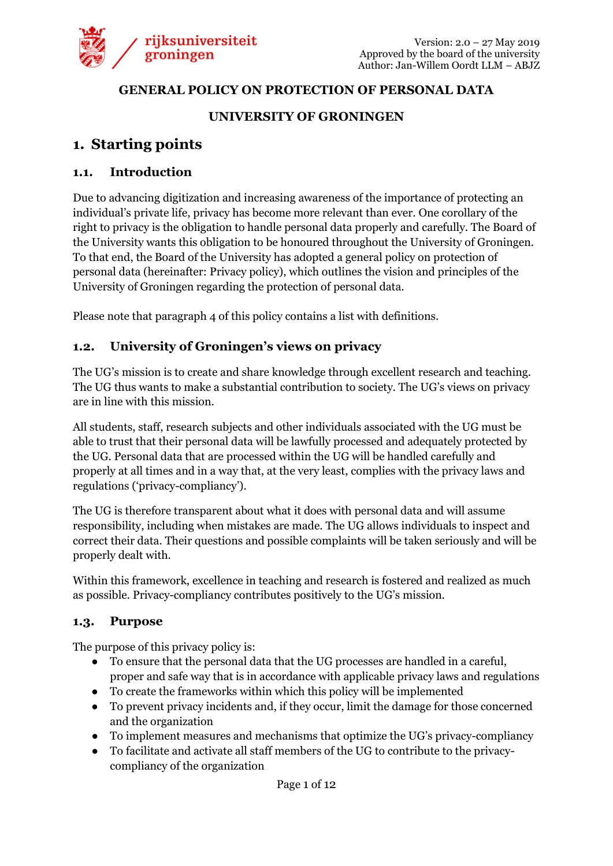

#### **GENERAL POLICY ON PROTECTION OF PERSONAL DATA**

#### **UNIVERSITY OF GRONINGEN**

## **1. Starting points**

#### **1.1. Introduction**

Due to advancing digitization and increasing awareness of the importance of protecting an individual's private life, privacy has become more relevant than ever. One corollary of the right to privacy is the obligation to handle personal data properly and carefully. The Board of the University wants this obligation to be honoured throughout the University of Groningen. To that end, the Board of the University has adopted a general policy on protection of personal data (hereinafter: Privacy policy), which outlines the vision and principles of the University of Groningen regarding the protection of personal data.

Please note that paragraph 4 of this policy contains a list with definitions.

#### **1.2. University of Groningen's views on privacy**

The UG's mission is to create and share knowledge through excellent research and teaching. The UG thus wants to make a substantial contribution to society. The UG's views on privacy are in line with this mission.

All students, staff, research subjects and other individuals associated with the UG must be able to trust that their personal data will be lawfully processed and adequately protected by the UG. Personal data that are processed within the UG will be handled carefully and properly at all times and in a way that, at the very least, complies with the privacy laws and regulations ('privacy-compliancy').

The UG is therefore transparent about what it does with personal data and will assume responsibility, including when mistakes are made. The UG allows individuals to inspect and correct their data. Their questions and possible complaints will be taken seriously and will be properly dealt with.

Within this framework, excellence in teaching and research is fostered and realized as much as possible. Privacy-compliancy contributes positively to the UG's mission.

#### **1.3. Purpose**

The purpose of this privacy policy is:

- To ensure that the personal data that the UG processes are handled in a careful, proper and safe way that is in accordance with applicable privacy laws and regulations
- To create the frameworks within which this policy will be implemented
- To prevent privacy incidents and, if they occur, limit the damage for those concerned and the organization
- To implement measures and mechanisms that optimize the UG's privacy-compliancy
- To facilitate and activate all staff members of the UG to contribute to the privacycompliancy of the organization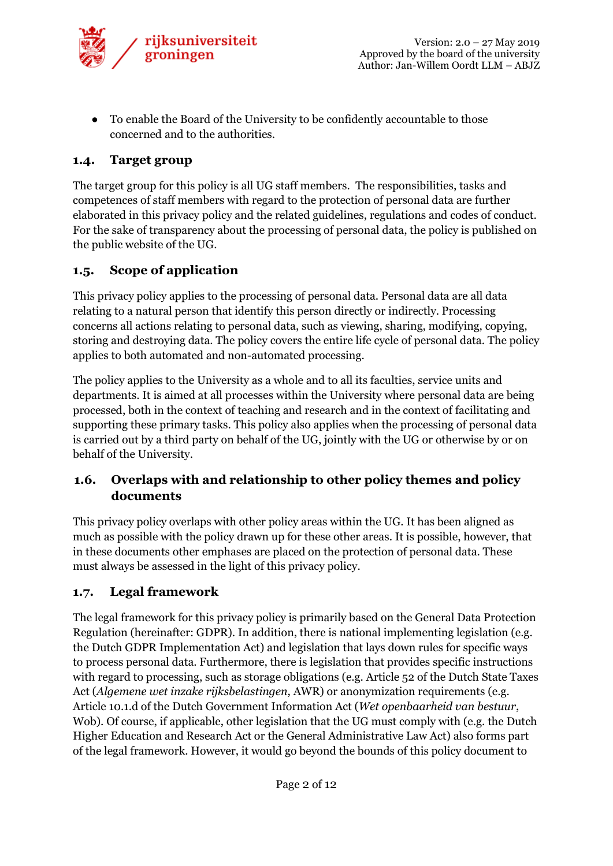

● To enable the Board of the University to be confidently accountable to those concerned and to the authorities.

## **1.4. Target group**

The target group for this policy is all UG staff members. The responsibilities, tasks and competences of staff members with regard to the protection of personal data are further elaborated in this privacy policy and the related guidelines, regulations and codes of conduct. For the sake of transparency about the processing of personal data, the policy is published on the public website of the UG.

#### **1.5. Scope of application**

This privacy policy applies to the processing of personal data. Personal data are all data relating to a natural person that identify this person directly or indirectly. Processing concerns all actions relating to personal data, such as viewing, sharing, modifying, copying, storing and destroying data. The policy covers the entire life cycle of personal data. The policy applies to both automated and non-automated processing.

The policy applies to the University as a whole and to all its faculties, service units and departments. It is aimed at all processes within the University where personal data are being processed, both in the context of teaching and research and in the context of facilitating and supporting these primary tasks. This policy also applies when the processing of personal data is carried out by a third party on behalf of the UG, jointly with the UG or otherwise by or on behalf of the University.

## **1.6. Overlaps with and relationship to other policy themes and policy documents**

This privacy policy overlaps with other policy areas within the UG. It has been aligned as much as possible with the policy drawn up for these other areas. It is possible, however, that in these documents other emphases are placed on the protection of personal data. These must always be assessed in the light of this privacy policy.

#### **1.7. Legal framework**

The legal framework for this privacy policy is primarily based on the General Data Protection Regulation (hereinafter: GDPR). In addition, there is national implementing legislation (e.g. the Dutch GDPR Implementation Act) and legislation that lays down rules for specific ways to process personal data. Furthermore, there is legislation that provides specific instructions with regard to processing, such as storage obligations (e.g. Article 52 of the Dutch State Taxes Act (*Algemene wet inzake rijksbelastingen*, AWR) or anonymization requirements (e.g. Article 10.1.d of the Dutch Government Information Act (*Wet openbaarheid van bestuur*, Wob). Of course, if applicable, other legislation that the UG must comply with (e.g. the Dutch Higher Education and Research Act or the General Administrative Law Act) also forms part of the legal framework. However, it would go beyond the bounds of this policy document to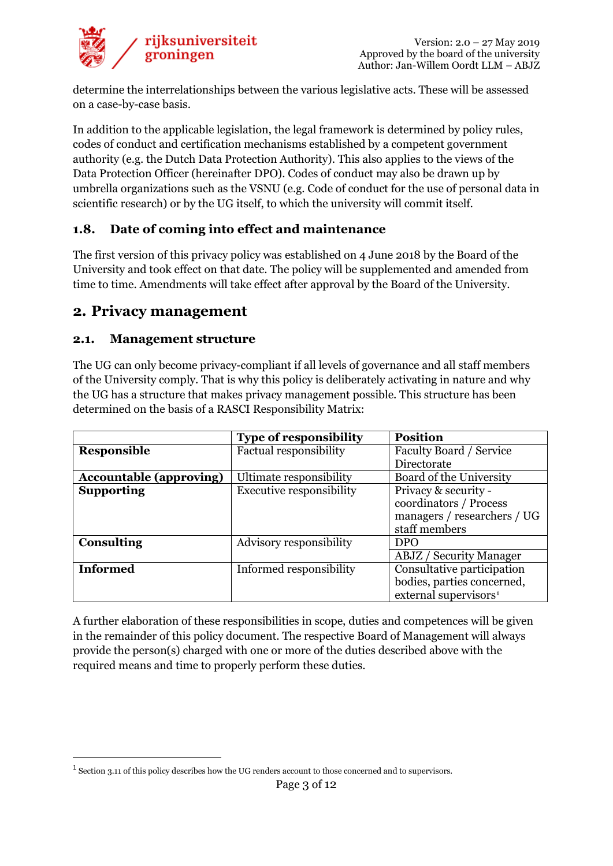

determine the interrelationships between the various legislative acts. These will be assessed on a case-by-case basis.

In addition to the applicable legislation, the legal framework is determined by policy rules, codes of conduct and certification mechanisms established by a competent government authority (e.g. the Dutch Data Protection Authority). This also applies to the views of the Data Protection Officer (hereinafter DPO). Codes of conduct may also be drawn up by umbrella organizations such as the VSNU (e.g. Code of conduct for the use of personal data in scientific research) or by the UG itself, to which the university will commit itself.

#### **1.8. Date of coming into effect and maintenance**

The first version of this privacy policy was established on 4 June 2018 by the Board of the University and took effect on that date. The policy will be supplemented and amended from time to time. Amendments will take effect after approval by the Board of the University.

#### **2. Privacy management**

#### **2.1. Management structure**

The UG can only become privacy-compliant if all levels of governance and all staff members of the University comply. That is why this policy is deliberately activating in nature and why the UG has a structure that makes privacy management possible. This structure has been determined on the basis of a RASCI Responsibility Matrix:

|                                | <b>Type of responsibility</b>   | <b>Position</b>                   |
|--------------------------------|---------------------------------|-----------------------------------|
| Responsible                    | <b>Factual responsibility</b>   | Faculty Board / Service           |
|                                |                                 | Directorate                       |
| <b>Accountable (approving)</b> | Ultimate responsibility         | Board of the University           |
| <b>Supporting</b>              | <b>Executive responsibility</b> | Privacy & security -              |
|                                |                                 | coordinators / Process            |
|                                |                                 | managers / researchers / UG       |
|                                |                                 | staff members                     |
| <b>Consulting</b>              | Advisory responsibility         | <b>DPO</b>                        |
|                                |                                 | <b>ABJZ</b> / Security Manager    |
| <b>Informed</b>                | Informed responsibility         | Consultative participation        |
|                                |                                 | bodies, parties concerned,        |
|                                |                                 | external supervisors <sup>1</sup> |

A further elaboration of these responsibilities in scope, duties and competences will be given in the remainder of this policy document. The respective Board of Management will always provide the person(s) charged with one or more of the duties described above with the required means and time to properly perform these duties.

<span id="page-2-0"></span> <sup>1</sup> Section 3.11 of this policy describes how the UG renders account to those concerned and to supervisors.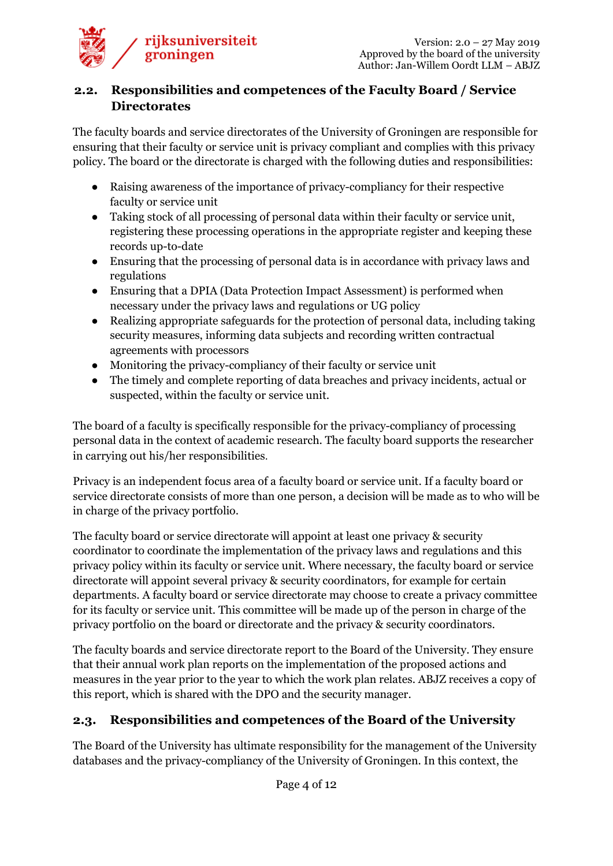

#### **2.2. Responsibilities and competences of the Faculty Board / Service Directorates**

The faculty boards and service directorates of the University of Groningen are responsible for ensuring that their faculty or service unit is privacy compliant and complies with this privacy policy. The board or the directorate is charged with the following duties and responsibilities:

- Raising awareness of the importance of privacy-compliancy for their respective faculty or service unit
- Taking stock of all processing of personal data within their faculty or service unit, registering these processing operations in the appropriate register and keeping these records up-to-date
- Ensuring that the processing of personal data is in accordance with privacy laws and regulations
- Ensuring that a DPIA (Data Protection Impact Assessment) is performed when necessary under the privacy laws and regulations or UG policy
- Realizing appropriate safeguards for the protection of personal data, including taking security measures, informing data subjects and recording written contractual agreements with processors
- Monitoring the privacy-compliancy of their faculty or service unit
- The timely and complete reporting of data breaches and privacy incidents, actual or suspected, within the faculty or service unit.

The board of a faculty is specifically responsible for the privacy-compliancy of processing personal data in the context of academic research. The faculty board supports the researcher in carrying out his/her responsibilities.

Privacy is an independent focus area of a faculty board or service unit. If a faculty board or service directorate consists of more than one person, a decision will be made as to who will be in charge of the privacy portfolio.

The faculty board or service directorate will appoint at least one privacy & security coordinator to coordinate the implementation of the privacy laws and regulations and this privacy policy within its faculty or service unit. Where necessary, the faculty board or service directorate will appoint several privacy & security coordinators, for example for certain departments. A faculty board or service directorate may choose to create a privacy committee for its faculty or service unit. This committee will be made up of the person in charge of the privacy portfolio on the board or directorate and the privacy & security coordinators.

The faculty boards and service directorate report to the Board of the University. They ensure that their annual work plan reports on the implementation of the proposed actions and measures in the year prior to the year to which the work plan relates. ABJZ receives a copy of this report, which is shared with the DPO and the security manager.

## **2.3. Responsibilities and competences of the Board of the University**

The Board of the University has ultimate responsibility for the management of the University databases and the privacy-compliancy of the University of Groningen. In this context, the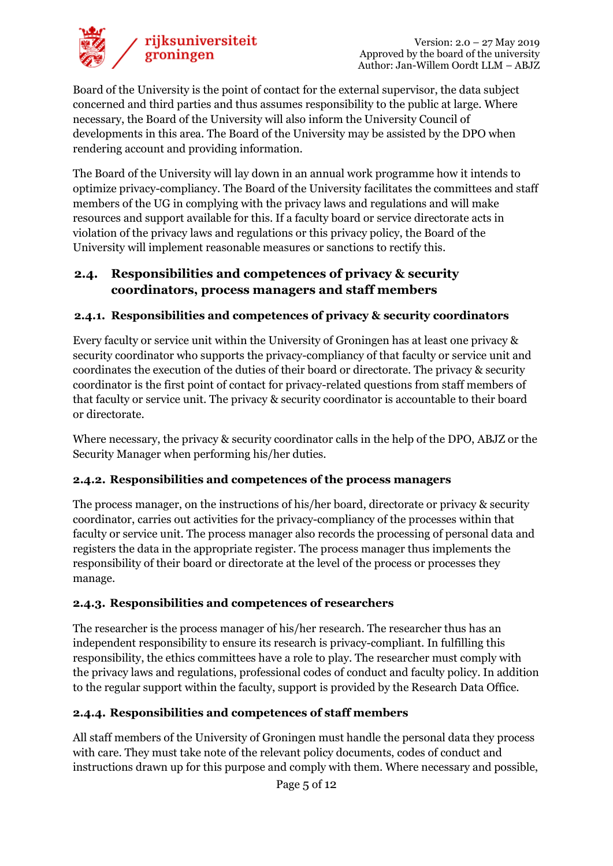

Board of the University is the point of contact for the external supervisor, the data subject concerned and third parties and thus assumes responsibility to the public at large. Where necessary, the Board of the University will also inform the University Council of developments in this area. The Board of the University may be assisted by the DPO when rendering account and providing information.

The Board of the University will lay down in an annual work programme how it intends to optimize privacy-compliancy. The Board of the University facilitates the committees and staff members of the UG in complying with the privacy laws and regulations and will make resources and support available for this. If a faculty board or service directorate acts in violation of the privacy laws and regulations or this privacy policy, the Board of the University will implement reasonable measures or sanctions to rectify this.

#### **2.4. Responsibilities and competences of privacy & security coordinators, process managers and staff members**

#### **2.4.1. Responsibilities and competences of privacy & security coordinators**

Every faculty or service unit within the University of Groningen has at least one privacy & security coordinator who supports the privacy-compliancy of that faculty or service unit and coordinates the execution of the duties of their board or directorate. The privacy & security coordinator is the first point of contact for privacy-related questions from staff members of that faculty or service unit. The privacy & security coordinator is accountable to their board or directorate.

Where necessary, the privacy & security coordinator calls in the help of the DPO, ABJZ or the Security Manager when performing his/her duties.

#### **2.4.2. Responsibilities and competences of the process managers**

The process manager, on the instructions of his/her board, directorate or privacy & security coordinator, carries out activities for the privacy-compliancy of the processes within that faculty or service unit. The process manager also records the processing of personal data and registers the data in the appropriate register. The process manager thus implements the responsibility of their board or directorate at the level of the process or processes they manage.

#### **2.4.3. Responsibilities and competences of researchers**

The researcher is the process manager of his/her research. The researcher thus has an independent responsibility to ensure its research is privacy-compliant. In fulfilling this responsibility, the ethics committees have a role to play. The researcher must comply with the privacy laws and regulations, professional codes of conduct and faculty policy. In addition to the regular support within the faculty, support is provided by the Research Data Office.

#### **2.4.4. Responsibilities and competences of staff members**

All staff members of the University of Groningen must handle the personal data they process with care. They must take note of the relevant policy documents, codes of conduct and instructions drawn up for this purpose and comply with them. Where necessary and possible,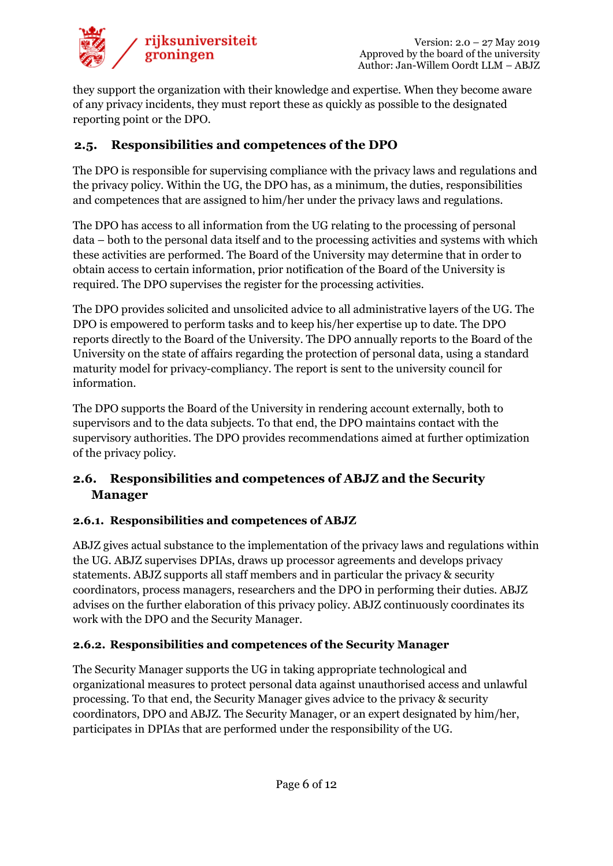

they support the organization with their knowledge and expertise. When they become aware of any privacy incidents, they must report these as quickly as possible to the designated reporting point or the DPO.

## **2.5. Responsibilities and competences of the DPO**

The DPO is responsible for supervising compliance with the privacy laws and regulations and the privacy policy. Within the UG, the DPO has, as a minimum, the duties, responsibilities and competences that are assigned to him/her under the privacy laws and regulations.

The DPO has access to all information from the UG relating to the processing of personal data – both to the personal data itself and to the processing activities and systems with which these activities are performed. The Board of the University may determine that in order to obtain access to certain information, prior notification of the Board of the University is required. The DPO supervises the register for the processing activities.

The DPO provides solicited and unsolicited advice to all administrative layers of the UG. The DPO is empowered to perform tasks and to keep his/her expertise up to date. The DPO reports directly to the Board of the University. The DPO annually reports to the Board of the University on the state of affairs regarding the protection of personal data, using a standard maturity model for privacy-compliancy. The report is sent to the university council for information.

The DPO supports the Board of the University in rendering account externally, both to supervisors and to the data subjects. To that end, the DPO maintains contact with the supervisory authorities. The DPO provides recommendations aimed at further optimization of the privacy policy.

## **2.6. Responsibilities and competences of ABJZ and the Security Manager**

#### **2.6.1. Responsibilities and competences of ABJZ**

ABJZ gives actual substance to the implementation of the privacy laws and regulations within the UG. ABJZ supervises DPIAs, draws up processor agreements and develops privacy statements. ABJZ supports all staff members and in particular the privacy & security coordinators, process managers, researchers and the DPO in performing their duties. ABJZ advises on the further elaboration of this privacy policy. ABJZ continuously coordinates its work with the DPO and the Security Manager.

#### **2.6.2. Responsibilities and competences of the Security Manager**

The Security Manager supports the UG in taking appropriate technological and organizational measures to protect personal data against unauthorised access and unlawful processing. To that end, the Security Manager gives advice to the privacy & security coordinators, DPO and ABJZ. The Security Manager, or an expert designated by him/her, participates in DPIAs that are performed under the responsibility of the UG.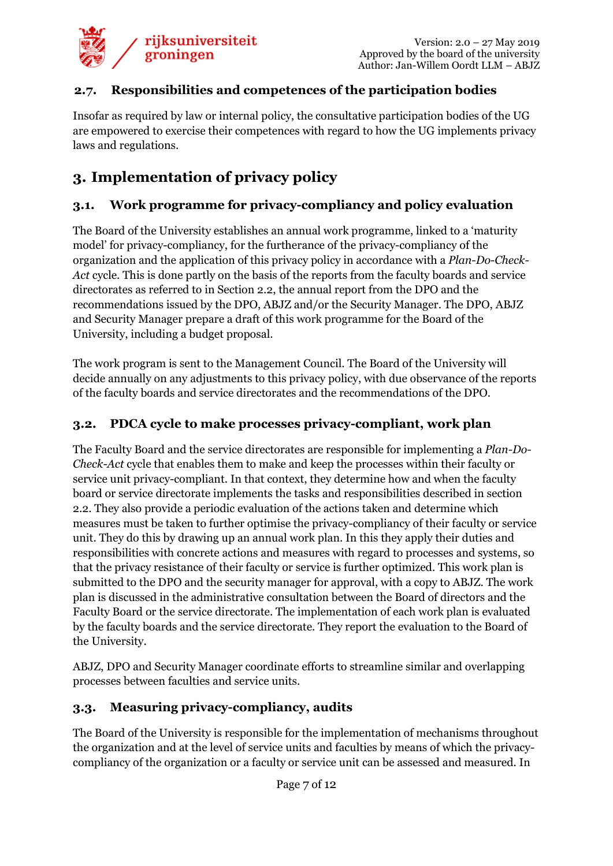

#### **2.7. Responsibilities and competences of the participation bodies**

Insofar as required by law or internal policy, the consultative participation bodies of the UG are empowered to exercise their competences with regard to how the UG implements privacy laws and regulations.

# **3. Implementation of privacy policy**

#### **3.1. Work programme for privacy-compliancy and policy evaluation**

The Board of the University establishes an annual work programme, linked to a 'maturity model' for privacy-compliancy, for the furtherance of the privacy-compliancy of the organization and the application of this privacy policy in accordance with a *Plan-Do-Check-Act* cycle. This is done partly on the basis of the reports from the faculty boards and service directorates as referred to in Section 2.2, the annual report from the DPO and the recommendations issued by the DPO, ABJZ and/or the Security Manager. The DPO, ABJZ and Security Manager prepare a draft of this work programme for the Board of the University, including a budget proposal.

The work program is sent to the Management Council. The Board of the University will decide annually on any adjustments to this privacy policy, with due observance of the reports of the faculty boards and service directorates and the recommendations of the DPO.

#### **3.2. PDCA cycle to make processes privacy-compliant, work plan**

The Faculty Board and the service directorates are responsible for implementing a *Plan-Do-Check-Act* cycle that enables them to make and keep the processes within their faculty or service unit privacy-compliant. In that context, they determine how and when the faculty board or service directorate implements the tasks and responsibilities described in section 2.2. They also provide a periodic evaluation of the actions taken and determine which measures must be taken to further optimise the privacy-compliancy of their faculty or service unit. They do this by drawing up an annual work plan. In this they apply their duties and responsibilities with concrete actions and measures with regard to processes and systems, so that the privacy resistance of their faculty or service is further optimized. This work plan is submitted to the DPO and the security manager for approval, with a copy to ABJZ. The work plan is discussed in the administrative consultation between the Board of directors and the Faculty Board or the service directorate. The implementation of each work plan is evaluated by the faculty boards and the service directorate. They report the evaluation to the Board of the University.

ABJZ, DPO and Security Manager coordinate efforts to streamline similar and overlapping processes between faculties and service units.

#### **3.3. Measuring privacy-compliancy, audits**

The Board of the University is responsible for the implementation of mechanisms throughout the organization and at the level of service units and faculties by means of which the privacycompliancy of the organization or a faculty or service unit can be assessed and measured. In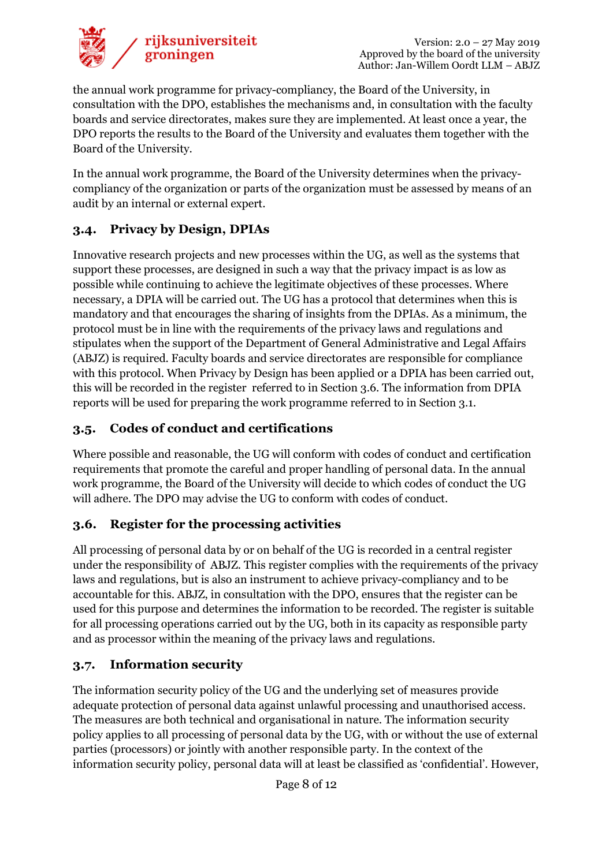

the annual work programme for privacy-compliancy, the Board of the University, in consultation with the DPO, establishes the mechanisms and, in consultation with the faculty boards and service directorates, makes sure they are implemented. At least once a year, the DPO reports the results to the Board of the University and evaluates them together with the Board of the University.

In the annual work programme, the Board of the University determines when the privacycompliancy of the organization or parts of the organization must be assessed by means of an audit by an internal or external expert.

## **3.4. Privacy by Design, DPIAs**

Innovative research projects and new processes within the UG, as well as the systems that support these processes, are designed in such a way that the privacy impact is as low as possible while continuing to achieve the legitimate objectives of these processes. Where necessary, a DPIA will be carried out. The UG has a protocol that determines when this is mandatory and that encourages the sharing of insights from the DPIAs. As a minimum, the protocol must be in line with the requirements of the privacy laws and regulations and stipulates when the support of the Department of General Administrative and Legal Affairs (ABJZ) is required. Faculty boards and service directorates are responsible for compliance with this protocol. When Privacy by Design has been applied or a DPIA has been carried out, this will be recorded in the register referred to in Section 3.6. The information from DPIA reports will be used for preparing the work programme referred to in Section 3.1.

## **3.5. Codes of conduct and certifications**

Where possible and reasonable, the UG will conform with codes of conduct and certification requirements that promote the careful and proper handling of personal data. In the annual work programme, the Board of the University will decide to which codes of conduct the UG will adhere. The DPO may advise the UG to conform with codes of conduct.

## **3.6. Register for the processing activities**

All processing of personal data by or on behalf of the UG is recorded in a central register under the responsibility of ABJZ. This register complies with the requirements of the privacy laws and regulations, but is also an instrument to achieve privacy-compliancy and to be accountable for this. ABJZ, in consultation with the DPO, ensures that the register can be used for this purpose and determines the information to be recorded. The register is suitable for all processing operations carried out by the UG, both in its capacity as responsible party and as processor within the meaning of the privacy laws and regulations.

## **3.7. Information security**

The information security policy of the UG and the underlying set of measures provide adequate protection of personal data against unlawful processing and unauthorised access. The measures are both technical and organisational in nature. The information security policy applies to all processing of personal data by the UG, with or without the use of external parties (processors) or jointly with another responsible party. In the context of the information security policy, personal data will at least be classified as 'confidential'. However,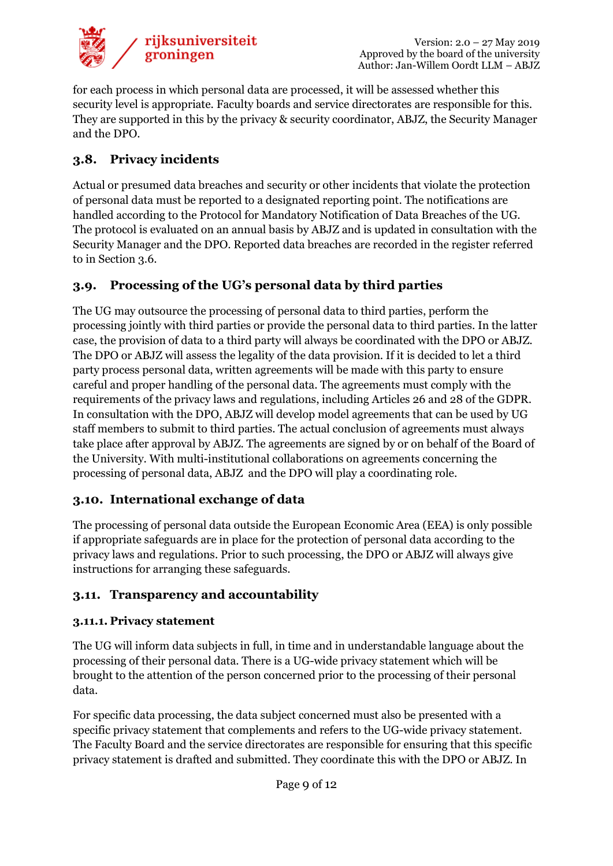

for each process in which personal data are processed, it will be assessed whether this security level is appropriate. Faculty boards and service directorates are responsible for this. They are supported in this by the privacy & security coordinator, ABJZ, the Security Manager and the DPO.

## **3.8. Privacy incidents**

Actual or presumed data breaches and security or other incidents that violate the protection of personal data must be reported to a designated reporting point. The notifications are handled according to the Protocol for Mandatory Notification of Data Breaches of the UG. The protocol is evaluated on an annual basis by ABJZ and is updated in consultation with the Security Manager and the DPO. Reported data breaches are recorded in the register referred to in Section 3.6.

## **3.9. Processing of the UG's personal data by third parties**

The UG may outsource the processing of personal data to third parties, perform the processing jointly with third parties or provide the personal data to third parties. In the latter case, the provision of data to a third party will always be coordinated with the DPO or ABJZ. The DPO or ABJZ will assess the legality of the data provision. If it is decided to let a third party process personal data, written agreements will be made with this party to ensure careful and proper handling of the personal data. The agreements must comply with the requirements of the privacy laws and regulations, including Articles 26 and 28 of the GDPR. In consultation with the DPO, ABJZ will develop model agreements that can be used by UG staff members to submit to third parties. The actual conclusion of agreements must always take place after approval by ABJZ. The agreements are signed by or on behalf of the Board of the University. With multi-institutional collaborations on agreements concerning the processing of personal data, ABJZ and the DPO will play a coordinating role.

## **3.10. International exchange of data**

The processing of personal data outside the European Economic Area (EEA) is only possible if appropriate safeguards are in place for the protection of personal data according to the privacy laws and regulations. Prior to such processing, the DPO or ABJZ will always give instructions for arranging these safeguards.

## **3.11. Transparency and accountability**

#### **3.11.1. Privacy statement**

The UG will inform data subjects in full, in time and in understandable language about the processing of their personal data. There is a UG-wide privacy statement which will be brought to the attention of the person concerned prior to the processing of their personal data.

For specific data processing, the data subject concerned must also be presented with a specific privacy statement that complements and refers to the UG-wide privacy statement. The Faculty Board and the service directorates are responsible for ensuring that this specific privacy statement is drafted and submitted. They coordinate this with the DPO or ABJZ. In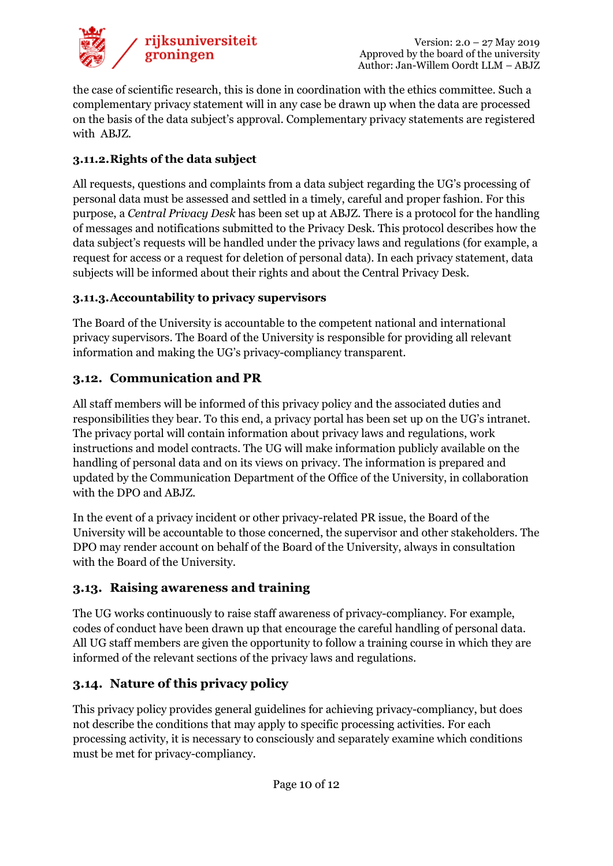

the case of scientific research, this is done in coordination with the ethics committee. Such a complementary privacy statement will in any case be drawn up when the data are processed on the basis of the data subject's approval. Complementary privacy statements are registered with ABJZ.

#### **3.11.2.Rights of the data subject**

All requests, questions and complaints from a data subject regarding the UG's processing of personal data must be assessed and settled in a timely, careful and proper fashion. For this purpose, a *Central Privacy Desk* has been set up at ABJZ. There is a protocol for the handling of messages and notifications submitted to the Privacy Desk. This protocol describes how the data subject's requests will be handled under the privacy laws and regulations (for example, a request for access or a request for deletion of personal data). In each privacy statement, data subjects will be informed about their rights and about the Central Privacy Desk.

#### **3.11.3.Accountability to privacy supervisors**

The Board of the University is accountable to the competent national and international privacy supervisors. The Board of the University is responsible for providing all relevant information and making the UG's privacy-compliancy transparent.

## **3.12. Communication and PR**

All staff members will be informed of this privacy policy and the associated duties and responsibilities they bear. To this end, a privacy portal has been set up on the UG's intranet. The privacy portal will contain information about privacy laws and regulations, work instructions and model contracts. The UG will make information publicly available on the handling of personal data and on its views on privacy. The information is prepared and updated by the Communication Department of the Office of the University, in collaboration with the DPO and ABJZ.

In the event of a privacy incident or other privacy-related PR issue, the Board of the University will be accountable to those concerned, the supervisor and other stakeholders. The DPO may render account on behalf of the Board of the University, always in consultation with the Board of the University.

## **3.13. Raising awareness and training**

The UG works continuously to raise staff awareness of privacy-compliancy. For example, codes of conduct have been drawn up that encourage the careful handling of personal data. All UG staff members are given the opportunity to follow a training course in which they are informed of the relevant sections of the privacy laws and regulations.

## **3.14. Nature of this privacy policy**

This privacy policy provides general guidelines for achieving privacy-compliancy, but does not describe the conditions that may apply to specific processing activities. For each processing activity, it is necessary to consciously and separately examine which conditions must be met for privacy-compliancy.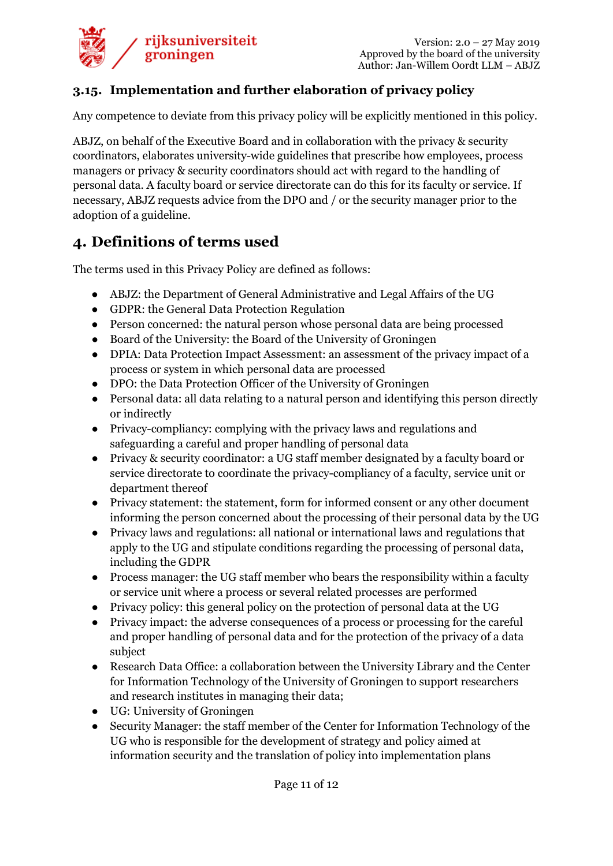

#### **3.15. Implementation and further elaboration of privacy policy**

Any competence to deviate from this privacy policy will be explicitly mentioned in this policy.

ABJZ, on behalf of the Executive Board and in collaboration with the privacy & security coordinators, elaborates university-wide guidelines that prescribe how employees, process managers or privacy & security coordinators should act with regard to the handling of personal data. A faculty board or service directorate can do this for its faculty or service. If necessary, ABJZ requests advice from the DPO and / or the security manager prior to the adoption of a guideline.

# **4. Definitions of terms used**

The terms used in this Privacy Policy are defined as follows:

- ABJZ: the Department of General Administrative and Legal Affairs of the UG
- GDPR: the General Data Protection Regulation
- Person concerned: the natural person whose personal data are being processed
- Board of the University: the Board of the University of Groningen
- DPIA: Data Protection Impact Assessment: an assessment of the privacy impact of a process or system in which personal data are processed
- DPO: the Data Protection Officer of the University of Groningen
- Personal data: all data relating to a natural person and identifying this person directly or indirectly
- Privacy-compliancy: complying with the privacy laws and regulations and safeguarding a careful and proper handling of personal data
- Privacy & security coordinator: a UG staff member designated by a faculty board or service directorate to coordinate the privacy-compliancy of a faculty, service unit or department thereof
- Privacy statement: the statement, form for informed consent or any other document informing the person concerned about the processing of their personal data by the UG
- Privacy laws and regulations: all national or international laws and regulations that apply to the UG and stipulate conditions regarding the processing of personal data, including the GDPR
- Process manager: the UG staff member who bears the responsibility within a faculty or service unit where a process or several related processes are performed
- Privacy policy: this general policy on the protection of personal data at the UG
- Privacy impact: the adverse consequences of a process or processing for the careful and proper handling of personal data and for the protection of the privacy of a data subject
- Research Data Office: a collaboration between the University Library and the Center for Information Technology of the University of Groningen to support researchers and research institutes in managing their data;
- UG: University of Groningen
- Security Manager: the staff member of the Center for Information Technology of the UG who is responsible for the development of strategy and policy aimed at information security and the translation of policy into implementation plans